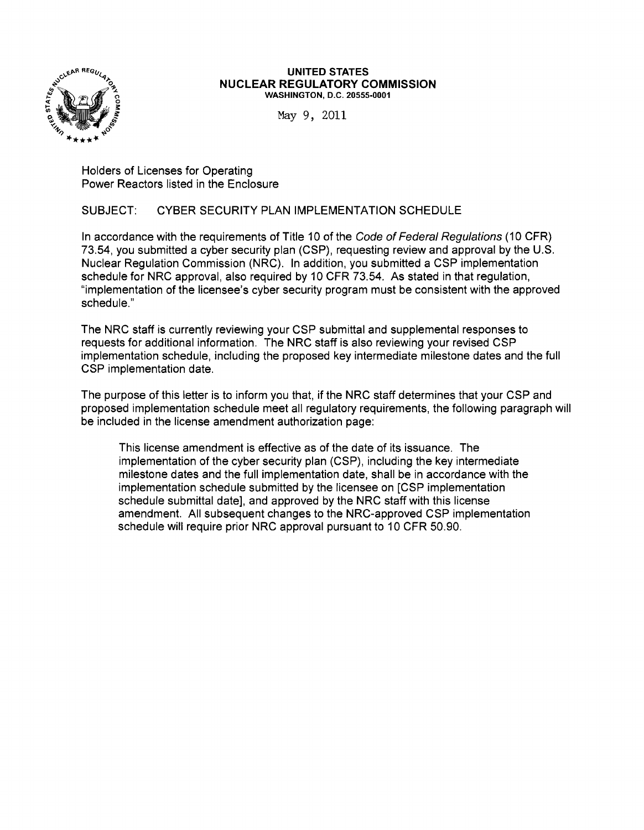

#### UNITED STATES NUCLEAR REGULATORY COMMISSION WASHINGTON, D.C. 20555-0001

May 9, 2011

Holders of Licenses for Operating Power Reactors listed in the Enclosure

## SUBJECT: CYBER SECURITY PLAN IMPLEMENTATION SCHEDULE

In accordance with the requirements of Title 10 of the Code of Federal Regulations (10 CFR) 73.54, you submitted a cyber security plan (CSP), requesting review and approval by the U.S. Nuclear Regulation Commission (NRC). In addition, you submitted a CSP implementation schedule for NRC approval, also required by 10 CFR 73.54. As stated in that regulation, "implementation of the licensee's cyber security program must be consistent with the approved schedule."

The NRC staff is currently reviewing your CSP submittal and supplemental responses to requests for additional information. The NRC staff is also reviewing your revised CSP implementation schedule, including the proposed key intermediate milestone dates and the full CSP implementation date.

The purpose of this letter is to inform you that, if the NRC staff determines that your CSP and proposed implementation schedule meet all regulatory requirements, the following paragraph will be included in the license amendment authorization page:

This license amendment is effective as of the date of its issuance. The implementation of the cyber security plan (CSP), including the key intermediate milestone dates and the full implementation date, shall be in accordance with the implementation schedule submitted by the licensee on [CSP implementation schedule submittal date], and approved by the NRC staff with this license amendment. All subsequent changes to the NRC-approved CSP implementation schedule will require prior NRC approval pursuant to 10 CFR 50.90.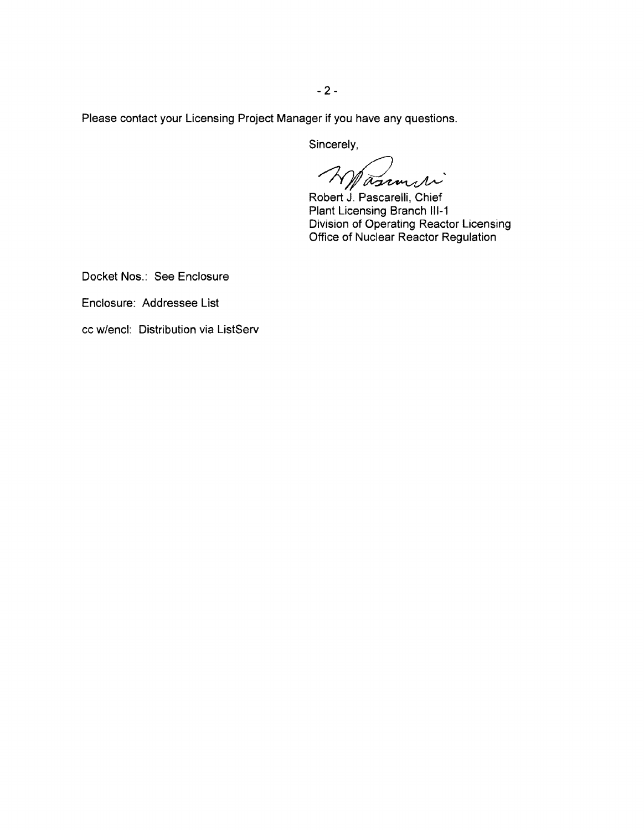Please contact your Licensing Project Manager if you have any questions.

Sincerely,

Wasimiri

Robert J. Pascarelli, Chief Plant Licensing Branch 111-1 Division of Operating Reactor Licensing Office of Nuclear Reactor Regulation

Docket Nos.: See Enclosure

Enclosure: Addressee List

cc w/encl: Distribution via ListServ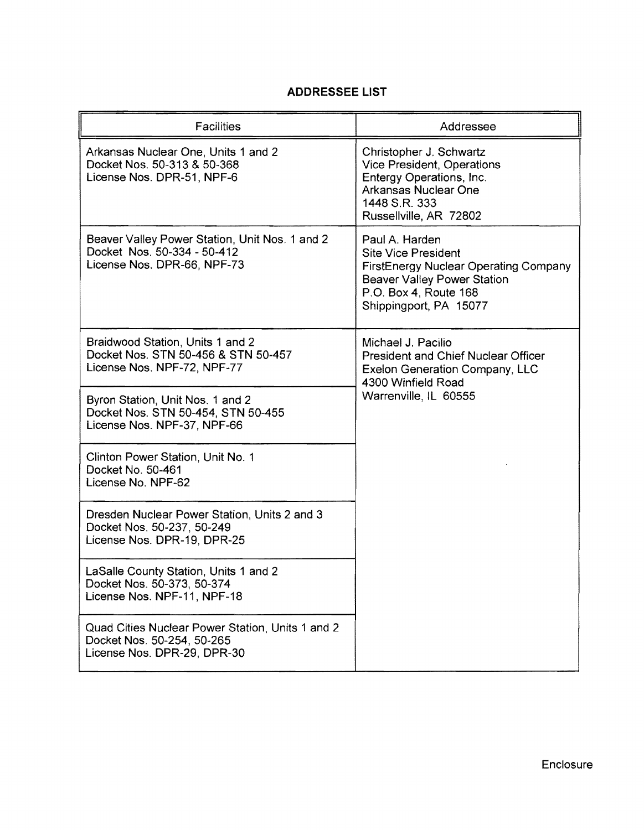|  |  |  | <b>ADDRESSEE LIST</b> |
|--|--|--|-----------------------|
|--|--|--|-----------------------|

| <b>Facilities</b>                                                                                             | Addressee                                                                                                                                                                      |
|---------------------------------------------------------------------------------------------------------------|--------------------------------------------------------------------------------------------------------------------------------------------------------------------------------|
| Arkansas Nuclear One, Units 1 and 2<br>Docket Nos. 50-313 & 50-368<br>License Nos. DPR-51, NPF-6              | Christopher J. Schwartz<br>Vice President, Operations<br>Entergy Operations, Inc.<br>Arkansas Nuclear One<br>1448 S.R. 333<br>Russellville, AR 72802                           |
| Beaver Valley Power Station, Unit Nos. 1 and 2<br>Docket Nos. 50-334 - 50-412<br>License Nos. DPR-66, NPF-73  | Paul A. Harden<br><b>Site Vice President</b><br>FirstEnergy Nuclear Operating Company<br><b>Beaver Valley Power Station</b><br>P.O. Box 4, Route 168<br>Shippingport, PA 15077 |
| Braidwood Station, Units 1 and 2<br>Docket Nos. STN 50-456 & STN 50-457<br>License Nos. NPF-72, NPF-77        | Michael J. Pacilio<br><b>President and Chief Nuclear Officer</b><br>Exelon Generation Company, LLC<br>4300 Winfield Road<br>Warrenville, IL 60555                              |
| Byron Station, Unit Nos. 1 and 2<br>Docket Nos. STN 50-454, STN 50-455<br>License Nos. NPF-37, NPF-66         |                                                                                                                                                                                |
| Clinton Power Station, Unit No. 1<br>Docket No. 50-461<br>License No. NPF-62                                  |                                                                                                                                                                                |
| Dresden Nuclear Power Station, Units 2 and 3<br>Docket Nos. 50-237, 50-249<br>License Nos. DPR-19, DPR-25     |                                                                                                                                                                                |
| LaSalle County Station, Units 1 and 2<br>Docket Nos. 50-373, 50-374<br>License Nos. NPF-11, NPF-18            |                                                                                                                                                                                |
| Quad Cities Nuclear Power Station, Units 1 and 2<br>Docket Nos. 50-254, 50-265<br>License Nos. DPR-29, DPR-30 |                                                                                                                                                                                |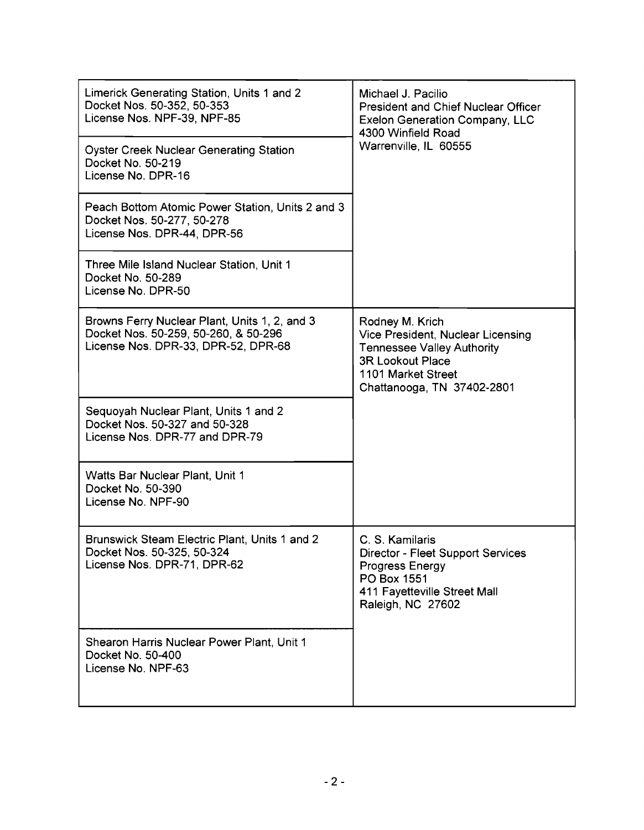| Limerick Generating Station, Units 1 and 2<br>Docket Nos. 50-352, 50-353<br>License Nos. NPF-39, NPF-85<br><b>Oyster Creek Nuclear Generating Station</b><br>Docket No. 50-219<br>License No. DPR-16<br>Peach Bottom Atomic Power Station, Units 2 and 3<br>Docket Nos. 50-277, 50-278<br>License Nos. DPR-44, DPR-56<br>Three Mile Island Nuclear Station, Unit 1 | Michael J. Pacilio<br><b>President and Chief Nuclear Officer</b><br><b>Exelon Generation Company, LLC</b><br>4300 Winfield Road<br>Warrenville, IL 60555                 |  |
|--------------------------------------------------------------------------------------------------------------------------------------------------------------------------------------------------------------------------------------------------------------------------------------------------------------------------------------------------------------------|--------------------------------------------------------------------------------------------------------------------------------------------------------------------------|--|
| Docket No. 50-289<br>License No. DPR-50                                                                                                                                                                                                                                                                                                                            |                                                                                                                                                                          |  |
| Browns Ferry Nuclear Plant, Units 1, 2, and 3<br>Docket Nos. 50-259, 50-260, & 50-296<br>License Nos. DPR-33, DPR-52, DPR-68                                                                                                                                                                                                                                       | Rodney M. Krich<br>Vice President, Nuclear Licensing<br><b>Tennessee Valley Authority</b><br><b>3R Lookout Place</b><br>1101 Market Street<br>Chattanooga, TN 37402-2801 |  |
| Sequoyah Nuclear Plant, Units 1 and 2<br>Docket Nos. 50-327 and 50-328<br>License Nos. DPR-77 and DPR-79                                                                                                                                                                                                                                                           |                                                                                                                                                                          |  |
| Watts Bar Nuclear Plant, Unit 1<br>Docket No. 50-390<br>License No. NPF-90                                                                                                                                                                                                                                                                                         |                                                                                                                                                                          |  |
| Brunswick Steam Electric Plant, Units 1 and 2<br>Docket Nos. 50-325, 50-324<br>License Nos. DPR-71, DPR-62                                                                                                                                                                                                                                                         | C. S. Kamilaris<br>Director - Fleet Support Services<br><b>Progress Energy</b><br>PO Box 1551<br>411 Fayetteville Street Mall<br>Raleigh, NC 27602                       |  |
| Shearon Harris Nuclear Power Plant, Unit 1<br>Docket No. 50-400<br>License No. NPF-63                                                                                                                                                                                                                                                                              |                                                                                                                                                                          |  |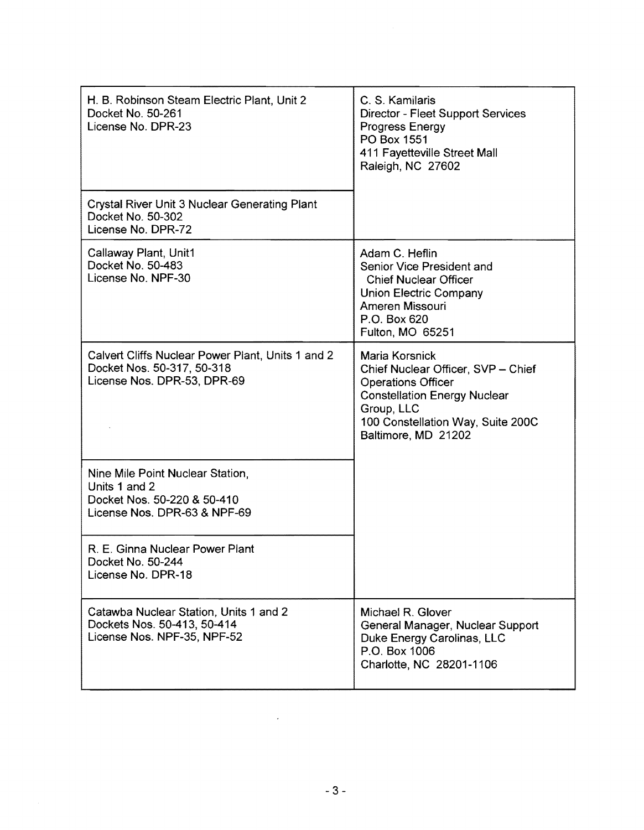| H. B. Robinson Steam Electric Plant, Unit 2<br>Docket No. 50-261<br>License No. DPR-23                           | C. S. Kamilaris<br><b>Director - Fleet Support Services</b><br>Progress Energy<br>PO Box 1551<br>411 Fayetteville Street Mall<br>Raleigh, NC 27602                                                 |
|------------------------------------------------------------------------------------------------------------------|----------------------------------------------------------------------------------------------------------------------------------------------------------------------------------------------------|
| <b>Crystal River Unit 3 Nuclear Generating Plant</b><br>Docket No. 50-302<br>License No. DPR-72                  |                                                                                                                                                                                                    |
| Callaway Plant, Unit1<br>Docket No. 50-483<br>License No. NPF-30                                                 | Adam C. Heflin<br>Senior Vice President and<br><b>Chief Nuclear Officer</b><br><b>Union Electric Company</b><br>Ameren Missouri<br>P.O. Box 620<br>Fulton, MO 65251                                |
| Calvert Cliffs Nuclear Power Plant, Units 1 and 2<br>Docket Nos. 50-317, 50-318<br>License Nos. DPR-53, DPR-69   | Maria Korsnick<br>Chief Nuclear Officer, SVP - Chief<br><b>Operations Officer</b><br><b>Constellation Energy Nuclear</b><br>Group, LLC<br>100 Constellation Way, Suite 200C<br>Baltimore, MD 21202 |
| Nine Mile Point Nuclear Station,<br>Units 1 and 2<br>Docket Nos. 50-220 & 50-410<br>License Nos. DPR-63 & NPF-69 |                                                                                                                                                                                                    |
| R. E. Ginna Nuclear Power Plant<br>Docket No. 50-244<br>License No. DPR-18                                       |                                                                                                                                                                                                    |
| Catawba Nuclear Station, Units 1 and 2<br>Dockets Nos. 50-413, 50-414<br>License Nos. NPF-35, NPF-52             | Michael R. Glover<br>General Manager, Nuclear Support<br>Duke Energy Carolinas, LLC<br>P.O. Box 1006<br>Charlotte, NC 28201-1106                                                                   |

 $\mathcal{L}^{\text{max}}_{\text{max}}$  ,  $\mathcal{L}^{\text{max}}_{\text{max}}$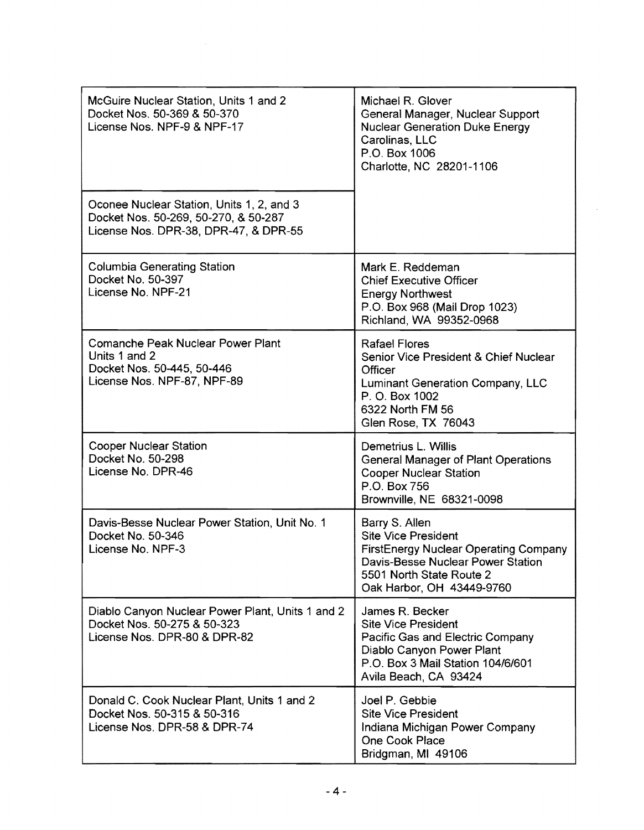| McGuire Nuclear Station, Units 1 and 2<br>Docket Nos. 50-369 & 50-370<br>License Nos. NPF-9 & NPF-17                       | Michael R. Glover<br>General Manager, Nuclear Support<br><b>Nuclear Generation Duke Energy</b><br>Carolinas, LLC<br>P.O. Box 1006<br>Charlotte, NC 28201-1106                              |  |
|----------------------------------------------------------------------------------------------------------------------------|--------------------------------------------------------------------------------------------------------------------------------------------------------------------------------------------|--|
| Oconee Nuclear Station, Units 1, 2, and 3<br>Docket Nos. 50-269, 50-270, & 50-287<br>License Nos. DPR-38, DPR-47, & DPR-55 |                                                                                                                                                                                            |  |
| <b>Columbia Generating Station</b><br>Docket No. 50-397<br>License No. NPF-21                                              | Mark E. Reddeman<br><b>Chief Executive Officer</b><br><b>Energy Northwest</b><br>P.O. Box 968 (Mail Drop 1023)<br>Richland, WA 99352-0968                                                  |  |
| <b>Comanche Peak Nuclear Power Plant</b><br>Units 1 and 2<br>Docket Nos. 50-445, 50-446<br>License Nos. NPF-87, NPF-89     | <b>Rafael Flores</b><br>Senior Vice President & Chief Nuclear<br>Officer<br>Luminant Generation Company, LLC<br>P. O. Box 1002<br>6322 North FM 56<br>Glen Rose, TX 76043                  |  |
| <b>Cooper Nuclear Station</b><br>Docket No. 50-298<br>License No. DPR-46                                                   | Demetrius L. Willis<br>General Manager of Plant Operations<br><b>Cooper Nuclear Station</b><br>P.O. Box 756<br>Brownville, NE 68321-0098                                                   |  |
| Davis-Besse Nuclear Power Station, Unit No. 1<br>Docket No. 50-346<br>License No. NPF-3                                    | Barry S. Allen<br><b>Site Vice President</b><br><b>FirstEnergy Nuclear Operating Company</b><br>Davis-Besse Nuclear Power Station<br>5501 North State Route 2<br>Oak Harbor, OH 43449-9760 |  |
| Diablo Canyon Nuclear Power Plant, Units 1 and 2<br>Docket Nos. 50-275 & 50-323<br>License Nos. DPR-80 & DPR-82            | James R. Becker<br><b>Site Vice President</b><br>Pacific Gas and Electric Company<br>Diablo Canyon Power Plant<br>P.O. Box 3 Mail Station 104/6/601<br>Avila Beach, CA 93424               |  |
| Donald C. Cook Nuclear Plant, Units 1 and 2<br>Docket Nos. 50-315 & 50-316<br>License Nos. DPR-58 & DPR-74                 | Joel P. Gebbie<br><b>Site Vice President</b><br>Indiana Michigan Power Company<br>One Cook Place<br>Bridgman, MI 49106                                                                     |  |

 $\sim$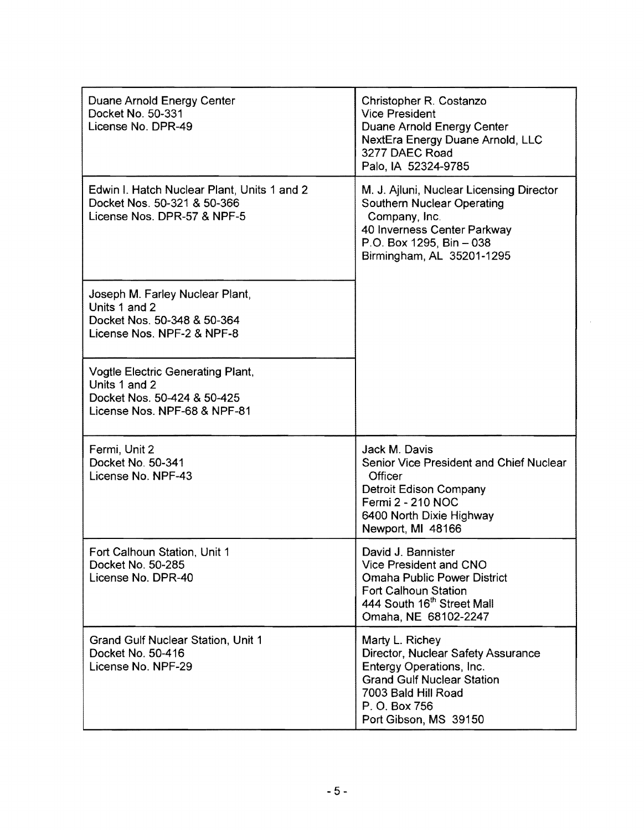| Duane Arnold Energy Center<br>Docket No. 50-331<br>License No. DPR-49                                                    | Christopher R. Costanzo<br><b>Vice President</b><br>Duane Arnold Energy Center<br>NextEra Energy Duane Arnold, LLC<br>3277 DAEC Road<br>Palo, IA 52324-9785                             |
|--------------------------------------------------------------------------------------------------------------------------|-----------------------------------------------------------------------------------------------------------------------------------------------------------------------------------------|
| Edwin I. Hatch Nuclear Plant, Units 1 and 2<br>Docket Nos. 50-321 & 50-366<br>License Nos. DPR-57 & NPF-5                | M. J. Ajluni, Nuclear Licensing Director<br><b>Southern Nuclear Operating</b><br>Company, Inc.<br>40 Inverness Center Parkway<br>P.O. Box 1295, Bin - 038<br>Birmingham, AL 35201-1295  |
| Joseph M. Farley Nuclear Plant,<br>Units 1 and 2<br>Docket Nos. 50-348 & 50-364<br>License Nos. NPF-2 & NPF-8            |                                                                                                                                                                                         |
| <b>Vogtle Electric Generating Plant,</b><br>Units 1 and 2<br>Docket Nos. 50-424 & 50-425<br>License Nos. NPF-68 & NPF-81 |                                                                                                                                                                                         |
| Fermi, Unit 2<br>Docket No. 50-341<br>License No. NPF-43                                                                 | Jack M. Davis<br>Senior Vice President and Chief Nuclear<br>Officer<br><b>Detroit Edison Company</b><br>Fermi 2 - 210 NOC<br>6400 North Dixie Highway<br>Newport, MI 48166              |
| Fort Calhoun Station, Unit 1<br>Docket No. 50-285<br>License No. DPR-40                                                  | David J. Bannister<br>Vice President and CNO<br><b>Omaha Public Power District</b><br>Fort Calhoun Station<br>444 South 16th Street Mall<br>Omaha, NE 68102-2247                        |
| Grand Gulf Nuclear Station, Unit 1<br>Docket No. 50-416<br>License No. NPF-29                                            | Marty L. Richey<br>Director, Nuclear Safety Assurance<br>Entergy Operations, Inc.<br><b>Grand Gulf Nuclear Station</b><br>7003 Bald Hill Road<br>P. O. Box 756<br>Port Gibson, MS 39150 |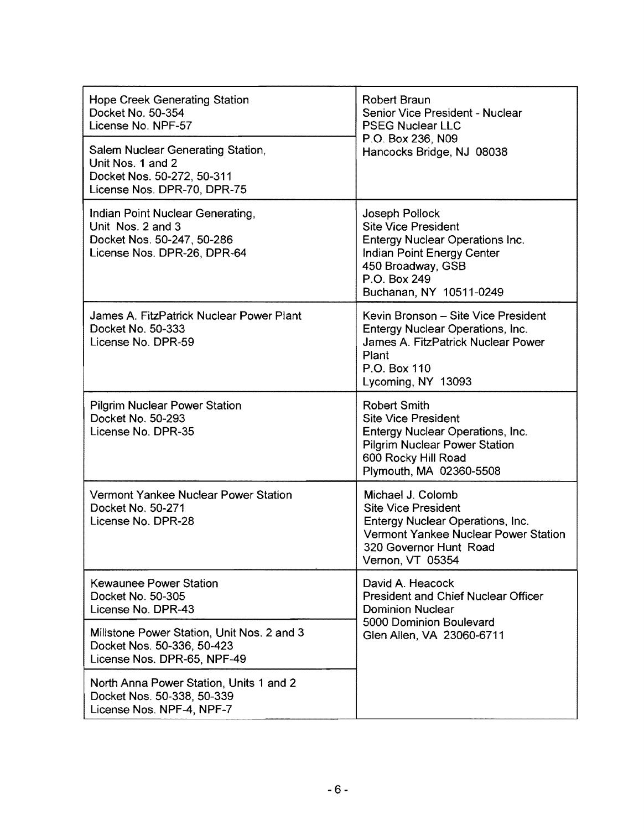| Hope Creek Generating Station<br>Docket No. 50-354<br>License No. NPF-57<br>Salem Nuclear Generating Station,<br>Unit Nos. 1 and 2<br>Docket Nos. 50-272, 50-311 | Robert Braun<br>Senior Vice President - Nuclear<br><b>PSEG Nuclear LLC</b><br>P.O. Box 236, N09<br>Hancocks Bridge, NJ 08038                                                    |  |
|------------------------------------------------------------------------------------------------------------------------------------------------------------------|---------------------------------------------------------------------------------------------------------------------------------------------------------------------------------|--|
| License Nos. DPR-70, DPR-75                                                                                                                                      |                                                                                                                                                                                 |  |
| Indian Point Nuclear Generating,<br>Unit Nos. 2 and 3<br>Docket Nos. 50-247, 50-286<br>License Nos. DPR-26, DPR-64                                               | Joseph Pollock<br><b>Site Vice President</b><br>Entergy Nuclear Operations Inc.<br>Indian Point Energy Center<br>450 Broadway, GSB<br>P.O. Box 249<br>Buchanan, NY 10511-0249   |  |
| James A. FitzPatrick Nuclear Power Plant<br>Docket No. 50-333<br>License No. DPR-59                                                                              | Kevin Bronson - Site Vice President<br>Entergy Nuclear Operations, Inc.<br>James A. FitzPatrick Nuclear Power<br>Plant<br>P.O. Box 110<br>Lycoming, NY 13093                    |  |
| <b>Pilgrim Nuclear Power Station</b><br>Docket No. 50-293<br>License No. DPR-35                                                                                  | <b>Robert Smith</b><br><b>Site Vice President</b><br>Entergy Nuclear Operations, Inc.<br><b>Pilgrim Nuclear Power Station</b><br>600 Rocky Hill Road<br>Plymouth, MA 02360-5508 |  |
| Vermont Yankee Nuclear Power Station<br>Docket No. 50-271<br>License No. DPR-28                                                                                  | Michael J. Colomb<br><b>Site Vice President</b><br>Entergy Nuclear Operations, Inc.<br>Vermont Yankee Nuclear Power Station<br>320 Governor Hunt Road<br>Vernon, VT 05354       |  |
| Kewaunee Power Station<br>Docket No. 50-305<br>License No. DPR-43                                                                                                | David A. Heacock<br><b>President and Chief Nuclear Officer</b><br><b>Dominion Nuclear</b>                                                                                       |  |
| Millstone Power Station, Unit Nos. 2 and 3<br>Docket Nos. 50-336, 50-423<br>License Nos. DPR-65, NPF-49                                                          | 5000 Dominion Boulevard<br>Glen Allen, VA 23060-6711                                                                                                                            |  |
| North Anna Power Station, Units 1 and 2<br>Docket Nos. 50-338, 50-339<br>License Nos. NPF-4, NPF-7                                                               |                                                                                                                                                                                 |  |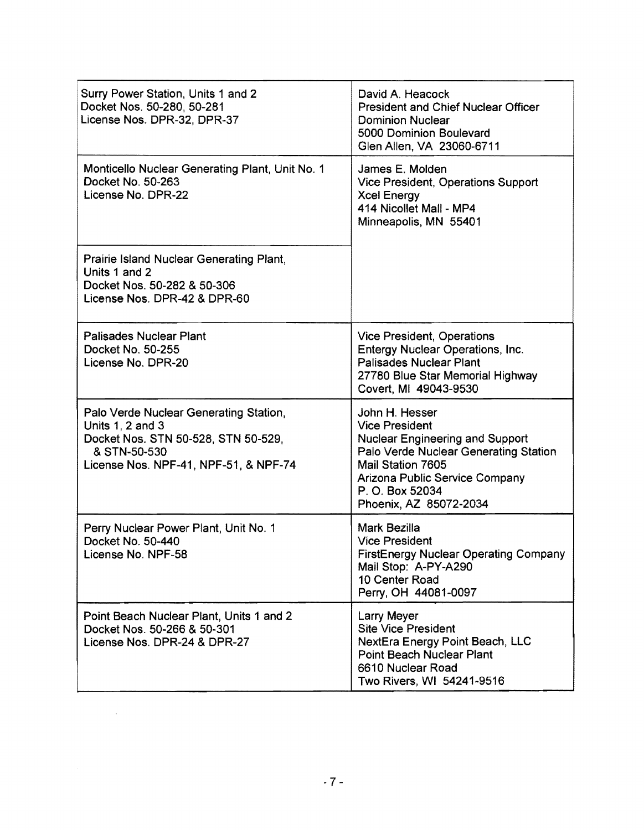| Surry Power Station, Units 1 and 2<br>Docket Nos. 50-280, 50-281<br>License Nos. DPR-32, DPR-37                                                            | David A. Heacock<br><b>President and Chief Nuclear Officer</b><br><b>Dominion Nuclear</b><br>5000 Dominion Boulevard<br>Glen Allen, VA 23060-6711                                                                              |  |  |
|------------------------------------------------------------------------------------------------------------------------------------------------------------|--------------------------------------------------------------------------------------------------------------------------------------------------------------------------------------------------------------------------------|--|--|
| Monticello Nuclear Generating Plant, Unit No. 1<br>Docket No. 50-263<br>License No. DPR-22                                                                 | James E. Molden<br>Vice President, Operations Support<br><b>Xcel Energy</b><br>414 Nicollet Mall - MP4<br>Minneapolis, MN 55401                                                                                                |  |  |
| Prairie Island Nuclear Generating Plant,<br>Units 1 and 2<br>Docket Nos. 50-282 & 50-306<br>License Nos. DPR-42 & DPR-60                                   |                                                                                                                                                                                                                                |  |  |
| <b>Palisades Nuclear Plant</b><br>Docket No. 50-255<br>License No. DPR-20                                                                                  | Vice President, Operations<br>Entergy Nuclear Operations, Inc.<br><b>Palisades Nuclear Plant</b><br>27780 Blue Star Memorial Highway<br>Covert, MI 49043-9530                                                                  |  |  |
| Palo Verde Nuclear Generating Station,<br>Units 1, 2 and 3<br>Docket Nos. STN 50-528, STN 50-529,<br>& STN-50-530<br>License Nos. NPF-41, NPF-51, & NPF-74 | John H. Hesser<br><b>Vice President</b><br><b>Nuclear Engineering and Support</b><br>Palo Verde Nuclear Generating Station<br>Mail Station 7605<br>Arizona Public Service Company<br>P. O. Box 52034<br>Phoenix, AZ 85072-2034 |  |  |
| Perry Nuclear Power Plant, Unit No. 1<br>Docket No. 50-440<br>License No. NPF-58                                                                           | Mark Bezilla<br><b>Vice President</b><br>FirstEnergy Nuclear Operating Company<br>Mail Stop: A-PY-A290<br>10 Center Road<br>Perry, OH 44081-0097                                                                               |  |  |
| Point Beach Nuclear Plant, Units 1 and 2<br>Docket Nos. 50-266 & 50-301<br>License Nos. DPR-24 & DPR-27                                                    | Larry Meyer<br><b>Site Vice President</b><br>NextEra Energy Point Beach, LLC<br><b>Point Beach Nuclear Plant</b><br>6610 Nuclear Road<br>Two Rivers, WI 54241-9516                                                             |  |  |

 $\label{eq:2.1} \frac{1}{\sqrt{2\pi}}\int_{0}^{\infty}\frac{1}{\sqrt{2\pi}}\left(\frac{1}{\sqrt{2\pi}}\right)^{2\alpha} \frac{1}{\sqrt{2\pi}}\int_{0}^{\infty}\frac{1}{\sqrt{2\pi}}\left(\frac{1}{\sqrt{2\pi}}\right)^{\alpha} \frac{1}{\sqrt{2\pi}}\frac{1}{\sqrt{2\pi}}\int_{0}^{\infty}\frac{1}{\sqrt{2\pi}}\frac{1}{\sqrt{2\pi}}\frac{1}{\sqrt{2\pi}}\frac{1}{\sqrt{2\pi}}\frac{1}{\sqrt{2\pi}}\frac{1}{\sqrt{2\$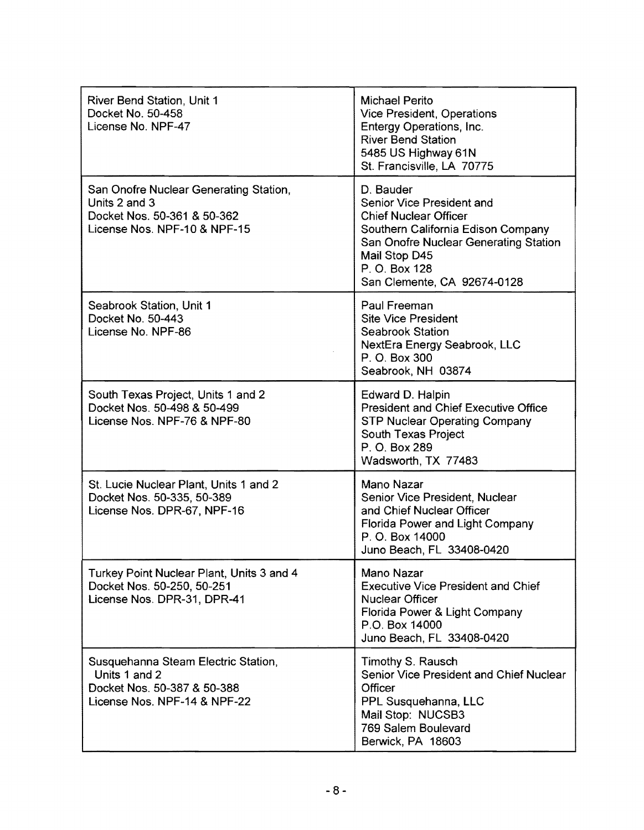| River Bend Station, Unit 1<br>Docket No. 50-458<br>License No. NPF-47                                                  | <b>Michael Perito</b><br>Vice President, Operations<br>Entergy Operations, Inc.<br><b>River Bend Station</b><br>5485 US Highway 61N<br>St. Francisville, LA 70775                                                      |
|------------------------------------------------------------------------------------------------------------------------|------------------------------------------------------------------------------------------------------------------------------------------------------------------------------------------------------------------------|
| San Onofre Nuclear Generating Station,<br>Units 2 and 3<br>Docket Nos. 50-361 & 50-362<br>License Nos. NPF-10 & NPF-15 | D. Bauder<br>Senior Vice President and<br><b>Chief Nuclear Officer</b><br>Southern California Edison Company<br>San Onofre Nuclear Generating Station<br>Mail Stop D45<br>P. O. Box 128<br>San Clemente, CA 92674-0128 |
| Seabrook Station, Unit 1<br>Docket No. 50-443<br>License No. NPF-86                                                    | Paul Freeman<br><b>Site Vice President</b><br><b>Seabrook Station</b><br>NextEra Energy Seabrook, LLC<br>P. O. Box 300<br>Seabrook, NH 03874                                                                           |
| South Texas Project, Units 1 and 2<br>Docket Nos. 50-498 & 50-499<br>License Nos. NPF-76 & NPF-80                      | Edward D. Halpin<br><b>President and Chief Executive Office</b><br><b>STP Nuclear Operating Company</b><br>South Texas Project<br>P. O. Box 289<br>Wadsworth, TX 77483                                                 |
| St. Lucie Nuclear Plant, Units 1 and 2<br>Docket Nos. 50-335, 50-389<br>License Nos. DPR-67, NPF-16                    | Mano Nazar<br>Senior Vice President, Nuclear<br>and Chief Nuclear Officer<br>Florida Power and Light Company<br>P. O. Box 14000<br>Juno Beach, FL 33408-0420                                                           |
| Turkey Point Nuclear Plant, Units 3 and 4<br>Docket Nos. 50-250, 50-251<br>License Nos. DPR-31, DPR-41                 | Mano Nazar<br><b>Executive Vice President and Chief</b><br><b>Nuclear Officer</b><br>Florida Power & Light Company<br>P.O. Box 14000<br>Juno Beach, FL 33408-0420                                                      |
| Susquehanna Steam Electric Station,<br>Units 1 and 2<br>Docket Nos. 50-387 & 50-388<br>License Nos. NPF-14 & NPF-22    | Timothy S. Rausch<br>Senior Vice President and Chief Nuclear<br>Officer<br>PPL Susquehanna, LLC<br>Mail Stop: NUCSB3<br>769 Salem Boulevard<br>Berwick, PA 18603                                                       |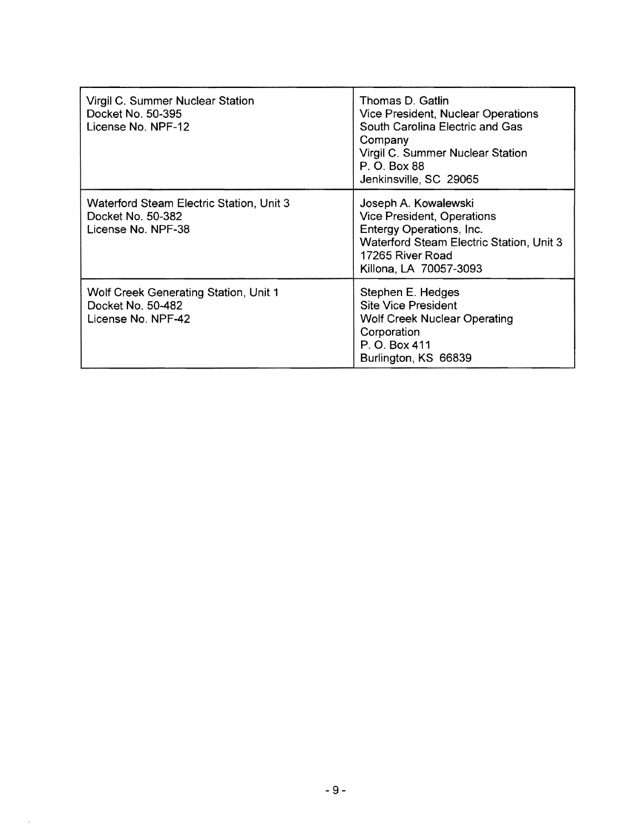| Virgil C. Summer Nuclear Station<br>Docket No. 50-395<br>License No. NPF-12         | Thomas D. Gatlin<br>Vice President, Nuclear Operations<br>South Carolina Electric and Gas<br>Company<br>Virgil C. Summer Nuclear Station<br>P. O. Box 88<br>Jenkinsville, SC 29065 |
|-------------------------------------------------------------------------------------|------------------------------------------------------------------------------------------------------------------------------------------------------------------------------------|
| Waterford Steam Electric Station, Unit 3<br>Docket No. 50-382<br>License No. NPF-38 | Joseph A. Kowalewski<br><b>Vice President, Operations</b><br>Entergy Operations, Inc.<br>Waterford Steam Electric Station, Unit 3<br>17265 River Road<br>Killona, LA 70057-3093    |
| Wolf Creek Generating Station, Unit 1<br>Docket No. 50-482<br>License No. NPF-42    | Stephen E. Hedges<br><b>Site Vice President</b><br><b>Wolf Creek Nuclear Operating</b><br>Corporation<br>P. O. Box 411<br>Burlington, KS 66839                                     |

 $\bar{.}$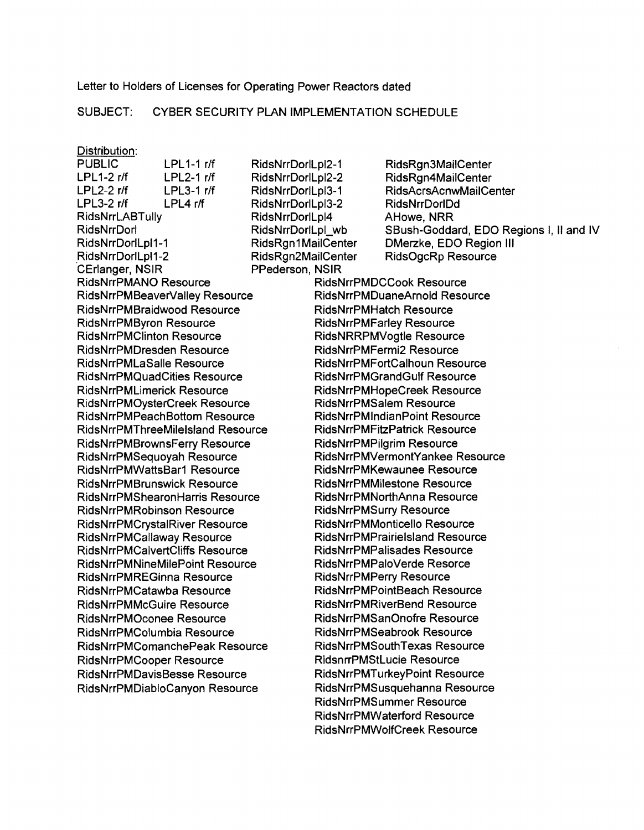Letter to Holders of Licenses for Operating Power Reactors dated

### SUBJECT: CYBER SECURITY PLAN IMPLEMENTATION SCHEDULE

#### Distribution:

LPL3-2 r/f LPL4 rtf RidsNrrDorlLpl3-2 RidsNrrDorlDd RidsNrrLABTully RidsNrrDorlLpl4 AHowe, NRR CErlanger, NSIR PPederson, NSIR RidsNrrPMANO Resource RidsNrrPMDCCook Resource RidsNrrPMBraidwood Resource RidsNrrPMHatch Resource RidsNrrPMByron Resource RidsNrrPMFarley Resource RidsNrrPMClinton Resource RidsNRRPMVogtle Resource RidsNrrPMDresden Resource RidsNrrPMFermi2 Resource RidsNrrPMLaSalie Resource RidsNrrPMFortCalhoun Resource RidsNrrPMQuadCities Resource RidsNrrPMGrandGulf Resource RidsNrrPMLimerick Resource RidsNrrPMHopeCreek Resource RidsNrrPMOysterCreek Resource RidsNrrPMSalem Resource RidsNrrPMPeachBottom Resource RidsNrrPMlndianPoint Resource RidsNrrPMThreeMilelsland Resource RidsNrrPMFitzPatrick Resource RidsNrrPMBrownsFerry Resource RidsNrrPMPilgrim Resource RidsNrrPMWattsBar1 Resource RidsNrrPMKewaunee Resource RidsNrrPMBrunswick Resource RidsNrrPMMilestone Resource RidsNrrPMShearonHarris Resource RidsNrrPMNorthAnna Resource RidsNrrPMRobinson Resource **RidsNrrPMSurry Resource** RidsNrrPMCrystalRiver Resource **RidsNrrPMMonticello Resource** RidsNrrPMCalvertCliffs Resource RidsNrrPMPalisades Resource RidsNrrPMNineMilePoint Resource RidsNrrPMPaloVerde Resorce RidsNrrPMREGinna Resource RidsNrrPMPerry Resource RidsNrrPMCatawba Resource RidsNrrPMPointBeach Resource RidsNrrPMMcGuire Resource **RidsNrrPMRIverBend Resource** RidsNrrPMOconee Resource RidsNrrPMSanOnofre Resource RidsNrrPMColumbia Resource RidsNrrPMSeabrook Resource RidsNrrPMComanchePeak Resource RidsNrrPMSouth Texas Resource RidsNrrPMCooper Resource RidsnrrPMStLucie Resource RidsNrrPMDavisBesse Resource RidsNrrPMTurkeyPoint Resource

PUBLIC LPL1-1 r/f RidsNrrDorlLpl2-1 RidsRgn3MailCenter LPL1-2 r/f LPL2-1 r/f RidsNrrDorlLpl2-2 RidsRgn4MailCenter LPL2-2 r/f LPL3-1 r/f RidsNrrDorlLpl3-1 RidsAcrsAcnwMailCenter RidsNrrDorl **RidsNrrDorlLpl\_wb** SBush-Goddard, EDO Regions I, II and IV RidsNrrDorlLpl1-1 RidsRgn 1 MailCenter DMerzke, EDO Region III RidsNrrDorlLpl1-2 RidsRgn2MailCenter RidsOgcRp Resource RidsNrrPMBeaverValley Resource RidsNrrPMDuaneArnold Resource RidsNrrPMSequoyah Resource RidsNrrPMVermontYankee Resource RidsNrrPMCallaway Resource RidsNrrPMPrairielsland Resource RidsNrrPMDiabloCanyon Resource RidsNrrPMSusquehanna Resource RidsNrrPMSummer Resource RidsNrrPMWaterford Resource RidsNrrPMWolfCreek Resource